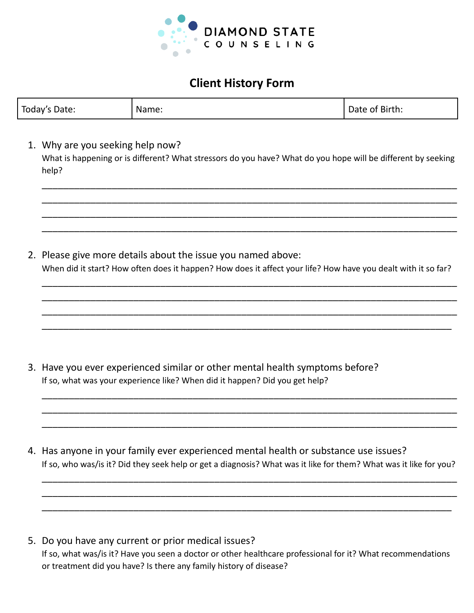

# **Client History Form**

| Today's Date: | Name: | Date of Birth: |
|---------------|-------|----------------|
|---------------|-------|----------------|

1. Why are you seeking help now? What is happening or is different? What stressors do you have? What do you hope will be different by seeking help?

2. Please give more details about the issue you named above: When did it start? How often does it happen? How does it affect your life? How have you dealt with it so far?

\_\_\_\_\_\_\_\_\_\_\_\_\_\_\_\_\_\_\_\_\_\_\_\_\_\_\_\_\_\_\_\_\_\_\_\_\_\_\_\_\_\_\_\_\_\_\_\_\_\_\_\_\_\_\_\_\_\_\_\_\_\_\_\_\_\_\_\_\_\_\_\_\_\_\_\_\_ \_\_\_\_\_\_\_\_\_\_\_\_\_\_\_\_\_\_\_\_\_\_\_\_\_\_\_\_\_\_\_\_\_\_\_\_\_\_\_\_\_\_\_\_\_\_\_\_\_\_\_\_\_\_\_\_\_\_\_\_\_\_\_\_\_\_\_\_\_\_\_\_\_\_\_\_\_ \_\_\_\_\_\_\_\_\_\_\_\_\_\_\_\_\_\_\_\_\_\_\_\_\_\_\_\_\_\_\_\_\_\_\_\_\_\_\_\_\_\_\_\_\_\_\_\_\_\_\_\_\_\_\_\_\_\_\_\_\_\_\_\_\_\_\_\_\_\_\_\_\_\_\_\_\_ \_\_\_\_\_\_\_\_\_\_\_\_\_\_\_\_\_\_\_\_\_\_\_\_\_\_\_\_\_\_\_\_\_\_\_\_\_\_\_\_\_\_\_\_\_\_\_\_\_\_\_\_\_\_\_\_\_\_\_\_\_\_\_\_\_\_\_\_\_\_\_\_\_\_\_\_

\_\_\_\_\_\_\_\_\_\_\_\_\_\_\_\_\_\_\_\_\_\_\_\_\_\_\_\_\_\_\_\_\_\_\_\_\_\_\_\_\_\_\_\_\_\_\_\_\_\_\_\_\_\_\_\_\_\_\_\_\_\_\_\_\_\_\_\_\_\_\_\_\_\_\_\_\_ \_\_\_\_\_\_\_\_\_\_\_\_\_\_\_\_\_\_\_\_\_\_\_\_\_\_\_\_\_\_\_\_\_\_\_\_\_\_\_\_\_\_\_\_\_\_\_\_\_\_\_\_\_\_\_\_\_\_\_\_\_\_\_\_\_\_\_\_\_\_\_\_\_\_\_\_\_ \_\_\_\_\_\_\_\_\_\_\_\_\_\_\_\_\_\_\_\_\_\_\_\_\_\_\_\_\_\_\_\_\_\_\_\_\_\_\_\_\_\_\_\_\_\_\_\_\_\_\_\_\_\_\_\_\_\_\_\_\_\_\_\_\_\_\_\_\_\_\_\_\_\_\_\_\_ \_\_\_\_\_\_\_\_\_\_\_\_\_\_\_\_\_\_\_\_\_\_\_\_\_\_\_\_\_\_\_\_\_\_\_\_\_\_\_\_\_\_\_\_\_\_\_\_\_\_\_\_\_\_\_\_\_\_\_\_\_\_\_\_\_\_\_\_\_\_\_\_\_\_\_\_\_

- 3. Have you ever experienced similar or other mental health symptoms before? If so, what was your experience like? When did it happen? Did you get help?
- 4. Has anyone in your family ever experienced mental health or substance use issues? If so, who was/is it? Did they seek help or get a diagnosis? What was it like for them? What was it like for you?

\_\_\_\_\_\_\_\_\_\_\_\_\_\_\_\_\_\_\_\_\_\_\_\_\_\_\_\_\_\_\_\_\_\_\_\_\_\_\_\_\_\_\_\_\_\_\_\_\_\_\_\_\_\_\_\_\_\_\_\_\_\_\_\_\_\_\_\_\_\_\_\_\_\_\_\_\_ \_\_\_\_\_\_\_\_\_\_\_\_\_\_\_\_\_\_\_\_\_\_\_\_\_\_\_\_\_\_\_\_\_\_\_\_\_\_\_\_\_\_\_\_\_\_\_\_\_\_\_\_\_\_\_\_\_\_\_\_\_\_\_\_\_\_\_\_\_\_\_\_\_\_\_\_\_ \_\_\_\_\_\_\_\_\_\_\_\_\_\_\_\_\_\_\_\_\_\_\_\_\_\_\_\_\_\_\_\_\_\_\_\_\_\_\_\_\_\_\_\_\_\_\_\_\_\_\_\_\_\_\_\_\_\_\_\_\_\_\_\_\_\_\_\_\_\_\_\_\_\_\_\_

\_\_\_\_\_\_\_\_\_\_\_\_\_\_\_\_\_\_\_\_\_\_\_\_\_\_\_\_\_\_\_\_\_\_\_\_\_\_\_\_\_\_\_\_\_\_\_\_\_\_\_\_\_\_\_\_\_\_\_\_\_\_\_\_\_\_\_\_\_\_\_\_\_\_\_\_\_ \_\_\_\_\_\_\_\_\_\_\_\_\_\_\_\_\_\_\_\_\_\_\_\_\_\_\_\_\_\_\_\_\_\_\_\_\_\_\_\_\_\_\_\_\_\_\_\_\_\_\_\_\_\_\_\_\_\_\_\_\_\_\_\_\_\_\_\_\_\_\_\_\_\_\_\_\_ \_\_\_\_\_\_\_\_\_\_\_\_\_\_\_\_\_\_\_\_\_\_\_\_\_\_\_\_\_\_\_\_\_\_\_\_\_\_\_\_\_\_\_\_\_\_\_\_\_\_\_\_\_\_\_\_\_\_\_\_\_\_\_\_\_\_\_\_\_\_\_\_\_\_\_\_\_

5. Do you have any current or prior medical issues? If so, what was/is it? Have you seen a doctor or other healthcare professional for it? What recommendations or treatment did you have? Is there any family history of disease?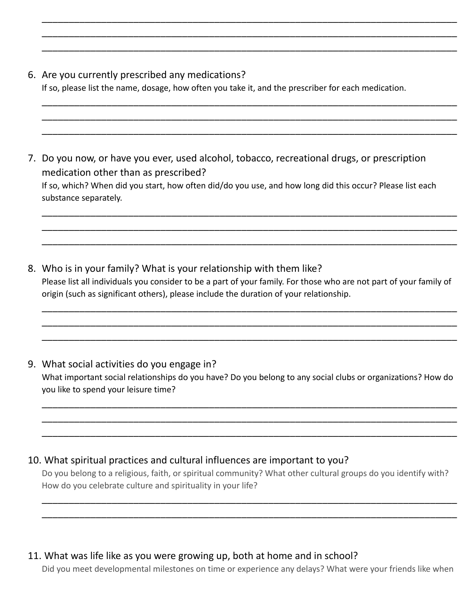### 6. Are you currently prescribed any medications?

If so, please list the name, dosage, how often you take it, and the prescriber for each medication.

\_\_\_\_\_\_\_\_\_\_\_\_\_\_\_\_\_\_\_\_\_\_\_\_\_\_\_\_\_\_\_\_\_\_\_\_\_\_\_\_\_\_\_\_\_\_\_\_\_\_\_\_\_\_\_\_\_\_\_\_\_\_\_\_\_\_\_\_\_\_\_\_\_\_\_\_\_ \_\_\_\_\_\_\_\_\_\_\_\_\_\_\_\_\_\_\_\_\_\_\_\_\_\_\_\_\_\_\_\_\_\_\_\_\_\_\_\_\_\_\_\_\_\_\_\_\_\_\_\_\_\_\_\_\_\_\_\_\_\_\_\_\_\_\_\_\_\_\_\_\_\_\_\_\_ \_\_\_\_\_\_\_\_\_\_\_\_\_\_\_\_\_\_\_\_\_\_\_\_\_\_\_\_\_\_\_\_\_\_\_\_\_\_\_\_\_\_\_\_\_\_\_\_\_\_\_\_\_\_\_\_\_\_\_\_\_\_\_\_\_\_\_\_\_\_\_\_\_\_\_\_\_

\_\_\_\_\_\_\_\_\_\_\_\_\_\_\_\_\_\_\_\_\_\_\_\_\_\_\_\_\_\_\_\_\_\_\_\_\_\_\_\_\_\_\_\_\_\_\_\_\_\_\_\_\_\_\_\_\_\_\_\_\_\_\_\_\_\_\_\_\_\_\_\_\_\_\_\_\_ \_\_\_\_\_\_\_\_\_\_\_\_\_\_\_\_\_\_\_\_\_\_\_\_\_\_\_\_\_\_\_\_\_\_\_\_\_\_\_\_\_\_\_\_\_\_\_\_\_\_\_\_\_\_\_\_\_\_\_\_\_\_\_\_\_\_\_\_\_\_\_\_\_\_\_\_\_ \_\_\_\_\_\_\_\_\_\_\_\_\_\_\_\_\_\_\_\_\_\_\_\_\_\_\_\_\_\_\_\_\_\_\_\_\_\_\_\_\_\_\_\_\_\_\_\_\_\_\_\_\_\_\_\_\_\_\_\_\_\_\_\_\_\_\_\_\_\_\_\_\_\_\_\_\_

\_\_\_\_\_\_\_\_\_\_\_\_\_\_\_\_\_\_\_\_\_\_\_\_\_\_\_\_\_\_\_\_\_\_\_\_\_\_\_\_\_\_\_\_\_\_\_\_\_\_\_\_\_\_\_\_\_\_\_\_\_\_\_\_\_\_\_\_\_\_\_\_\_\_\_\_\_ \_\_\_\_\_\_\_\_\_\_\_\_\_\_\_\_\_\_\_\_\_\_\_\_\_\_\_\_\_\_\_\_\_\_\_\_\_\_\_\_\_\_\_\_\_\_\_\_\_\_\_\_\_\_\_\_\_\_\_\_\_\_\_\_\_\_\_\_\_\_\_\_\_\_\_\_\_ \_\_\_\_\_\_\_\_\_\_\_\_\_\_\_\_\_\_\_\_\_\_\_\_\_\_\_\_\_\_\_\_\_\_\_\_\_\_\_\_\_\_\_\_\_\_\_\_\_\_\_\_\_\_\_\_\_\_\_\_\_\_\_\_\_\_\_\_\_\_\_\_\_\_\_\_\_

- 7. Do you now, or have you ever, used alcohol, tobacco, recreational drugs, or prescription medication other than as prescribed? If so, which? When did you start, how often did/do you use, and how long did this occur? Please list each substance separately.
- 8. Who is in your family? What is your relationship with them like? Please list all individuals you consider to be a part of your family. For those who are not part of your family of origin (such as significant others), please include the duration of your relationship.

\_\_\_\_\_\_\_\_\_\_\_\_\_\_\_\_\_\_\_\_\_\_\_\_\_\_\_\_\_\_\_\_\_\_\_\_\_\_\_\_\_\_\_\_\_\_\_\_\_\_\_\_\_\_\_\_\_\_\_\_\_\_\_\_\_\_\_\_\_\_\_\_\_\_\_\_\_ \_\_\_\_\_\_\_\_\_\_\_\_\_\_\_\_\_\_\_\_\_\_\_\_\_\_\_\_\_\_\_\_\_\_\_\_\_\_\_\_\_\_\_\_\_\_\_\_\_\_\_\_\_\_\_\_\_\_\_\_\_\_\_\_\_\_\_\_\_\_\_\_\_\_\_\_\_ \_\_\_\_\_\_\_\_\_\_\_\_\_\_\_\_\_\_\_\_\_\_\_\_\_\_\_\_\_\_\_\_\_\_\_\_\_\_\_\_\_\_\_\_\_\_\_\_\_\_\_\_\_\_\_\_\_\_\_\_\_\_\_\_\_\_\_\_\_\_\_\_\_\_\_\_\_

# 9. What social activities do you engage in? What important social relationships do you have? Do you belong to any social clubs or organizations? How do you like to spend your leisure time?

\_\_\_\_\_\_\_\_\_\_\_\_\_\_\_\_\_\_\_\_\_\_\_\_\_\_\_\_\_\_\_\_\_\_\_\_\_\_\_\_\_\_\_\_\_\_\_\_\_\_\_\_\_\_\_\_\_\_\_\_\_\_\_\_\_\_\_\_\_\_\_\_\_\_\_\_\_ \_\_\_\_\_\_\_\_\_\_\_\_\_\_\_\_\_\_\_\_\_\_\_\_\_\_\_\_\_\_\_\_\_\_\_\_\_\_\_\_\_\_\_\_\_\_\_\_\_\_\_\_\_\_\_\_\_\_\_\_\_\_\_\_\_\_\_\_\_\_\_\_\_\_\_\_\_ \_\_\_\_\_\_\_\_\_\_\_\_\_\_\_\_\_\_\_\_\_\_\_\_\_\_\_\_\_\_\_\_\_\_\_\_\_\_\_\_\_\_\_\_\_\_\_\_\_\_\_\_\_\_\_\_\_\_\_\_\_\_\_\_\_\_\_\_\_\_\_\_\_\_\_\_\_

## 10. What spiritual practices and cultural influences are important to you?

Do you belong to a religious, faith, or spiritual community? What other cultural groups do you identify with? How do you celebrate culture and spirituality in your life?

\_\_\_\_\_\_\_\_\_\_\_\_\_\_\_\_\_\_\_\_\_\_\_\_\_\_\_\_\_\_\_\_\_\_\_\_\_\_\_\_\_\_\_\_\_\_\_\_\_\_\_\_\_\_\_\_\_\_\_\_\_\_\_\_\_\_\_\_\_\_\_\_\_\_\_\_\_ \_\_\_\_\_\_\_\_\_\_\_\_\_\_\_\_\_\_\_\_\_\_\_\_\_\_\_\_\_\_\_\_\_\_\_\_\_\_\_\_\_\_\_\_\_\_\_\_\_\_\_\_\_\_\_\_\_\_\_\_\_\_\_\_\_\_\_\_\_\_\_\_\_\_\_\_\_

## 11. What was life like as you were growing up, both at home and in school?

Did you meet developmental milestones on time or experience any delays? What were your friends like when